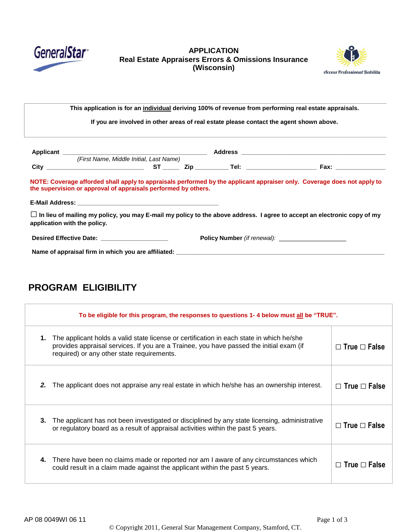

### **APPLICATION Real Estate Appraisers Errors & Omissions Insurance (Wisconsin)**



| This application is for an <i>individual</i> deriving 100% of revenue from performing real estate appraisals. |                                                                |  |  |                                                                                                                                |
|---------------------------------------------------------------------------------------------------------------|----------------------------------------------------------------|--|--|--------------------------------------------------------------------------------------------------------------------------------|
| If you are involved in other areas of real estate please contact the agent shown above.                       |                                                                |  |  |                                                                                                                                |
|                                                                                                               |                                                                |  |  |                                                                                                                                |
|                                                                                                               |                                                                |  |  |                                                                                                                                |
|                                                                                                               | (First Name, Middle Initial, Last Name)                        |  |  |                                                                                                                                |
|                                                                                                               |                                                                |  |  |                                                                                                                                |
|                                                                                                               |                                                                |  |  | NOTE: Coverage afforded shall apply to appraisals performed by the applicant appraiser only. Coverage does not apply to        |
|                                                                                                               | the supervision or approval of appraisals performed by others. |  |  |                                                                                                                                |
| application with the policy.                                                                                  |                                                                |  |  | $\Box$ In lieu of mailing my policy, you may E-mail my policy to the above address. I agree to accept an electronic copy of my |
|                                                                                                               | Desired Effective Date: _____________________                  |  |  |                                                                                                                                |

# **PROGRAM ELIGIBILITY**

| To be eligible for this program, the responses to questions 1-4 below must all be "TRUE".                                                                                                                                               |                          |  |  |
|-----------------------------------------------------------------------------------------------------------------------------------------------------------------------------------------------------------------------------------------|--------------------------|--|--|
| The applicant holds a valid state license or certification in each state in which he/she<br>1.<br>provides appraisal services. If you are a Trainee, you have passed the initial exam (if<br>required) or any other state requirements. | $\Box$ True $\Box$ False |  |  |
| 2.<br>The applicant does not appraise any real estate in which he/she has an ownership interest.                                                                                                                                        | $\Box$ True $\Box$ False |  |  |
| 3.<br>The applicant has not been investigated or disciplined by any state licensing, administrative<br>or regulatory board as a result of appraisal activities within the past 5 years.                                                 | $\Box$ True $\Box$ False |  |  |
| There have been no claims made or reported nor am I aware of any circumstances which<br>4.<br>could result in a claim made against the applicant within the past 5 years.                                                               | $\Box$ True $\Box$ False |  |  |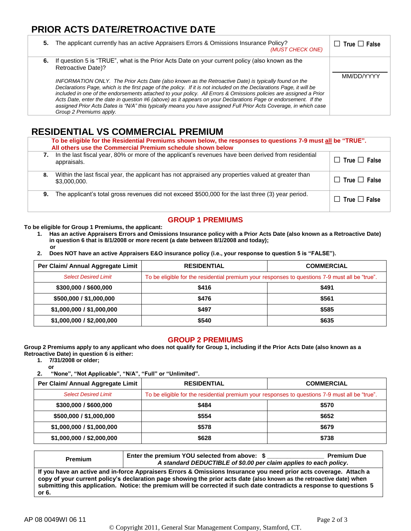## **PRIOR ACTS DATE/RETROACTIVE DATE**

| 5. | The applicant currently has an active Appraisers Errors & Omissions Insurance Policy?<br>(MUST CHECK ONE)                                                                                                                                                                                                                                                                                                                                                                                                                                                                                                                                                                                                                                       | $\Box$ True $\Box$ False |
|----|-------------------------------------------------------------------------------------------------------------------------------------------------------------------------------------------------------------------------------------------------------------------------------------------------------------------------------------------------------------------------------------------------------------------------------------------------------------------------------------------------------------------------------------------------------------------------------------------------------------------------------------------------------------------------------------------------------------------------------------------------|--------------------------|
|    | 6. If question 5 is "TRUE", what is the Prior Acts Date on your current policy (also known as the<br>Retroactive Date)?<br>INFORMATION ONLY. The Prior Acts Date (also known as the Retroactive Date) is typically found on the<br>Declarations Page, which is the first page of the policy. If it is not included on the Declarations Page, it will be<br>included in one of the endorsements attached to your policy. All Errors & Omissions policies are assigned a Prior<br>Acts Date, enter the date in question #6 (above) as it appears on your Declarations Page or endorsement. If the<br>assigned Prior Acts Dates is "N/A" this typically means you have assigned Full Prior Acts Coverage, in which case<br>Group 2 Premiums apply. | MM/DD/YYYY               |

## **RESIDENTIAL VS COMMERCIAL PREMIUM**

|    | To be eligible for the Residential Premiums shown below, the responses to questions 7-9 must all be "TRUE".<br>All others use the Commercial Premium schedule shown below |                          |  |  |
|----|---------------------------------------------------------------------------------------------------------------------------------------------------------------------------|--------------------------|--|--|
| 7. | In the last fiscal year, 80% or more of the applicant's revenues have been derived from residential<br>appraisals.                                                        | $\Box$ True $\Box$ False |  |  |
| 8. | Within the last fiscal year, the applicant has not appraised any properties valued at greater than<br>\$3,000,000.                                                        | $\Box$ True $\Box$ False |  |  |
| 9. | The applicant's total gross revenues did not exceed \$500,000 for the last three (3) year period.                                                                         | $\Box$ True $\Box$ False |  |  |

## **GROUP 1 PREMIUMS**

**To be eligible for Group 1 Premiums, the applicant:**

- **1. Has an active Appraisers Errors and Omissions Insurance policy with a Prior Acts Date (also known as a Retroactive Date) in question 6 that is 8/1/2008 or more recent (a date between 8/1/2008 and today); or**
- **2. Does NOT have an active Appraisers E&O insurance policy (i.e., your response to question 5 is "FALSE").**

| Per Claim/ Annual Aggregate Limit | <b>RESIDENTIAL</b>                                                                             | <b>COMMERCIAL</b> |
|-----------------------------------|------------------------------------------------------------------------------------------------|-------------------|
| <b>Select Desired Limit</b>       | To be eligible for the residential premium your responses to questions 7-9 must all be "true". |                   |
| \$300,000 / \$600,000             | \$416                                                                                          | \$491             |
| \$500,000 / \$1,000,000           | \$476                                                                                          | \$561             |
| \$1,000,000 / \$1,000,000         | \$497                                                                                          | \$585             |
| \$1,000,000 / \$2,000,000         | \$540                                                                                          | \$635             |

#### **GROUP 2 PREMIUMS**

**Group 2 Premiums apply to any applicant who does not qualify for Group 1, including if the Prior Acts Date (also known as a Retroactive Date) in question 6 is either:**

**1. 7/31/2008 or older;**

**or 2. "None", "Not Applicable", "N/A", "Full" or "Unlimited".**

| Per Claim/ Annual Aggregate Limit | <b>RESIDENTIAL</b>                                                                             | <b>COMMERCIAL</b> |
|-----------------------------------|------------------------------------------------------------------------------------------------|-------------------|
| <b>Select Desired Limit</b>       | To be eligible for the residential premium your responses to questions 7-9 must all be "true". |                   |
| \$300,000 / \$600,000             | \$484                                                                                          | \$570             |
| \$500,000 / \$1,000,000           | \$554                                                                                          | \$652             |
| \$1,000,000 / \$1,000,000         | \$578                                                                                          | \$679             |
| \$1,000,000 / \$2,000,000         | \$628                                                                                          | \$738             |

| <b>Premium</b> | Enter the premium YOU selected from above: \$<br>A standard DEDUCTIBLE of \$0.00 per claim applies to each policy.                                                                                                                                                                                                                                                 | <b>Premium Due</b> |
|----------------|--------------------------------------------------------------------------------------------------------------------------------------------------------------------------------------------------------------------------------------------------------------------------------------------------------------------------------------------------------------------|--------------------|
| or 6.          | If you have an active and in-force Appraisers Errors & Omissions Insurance you need prior acts coverage. Attach a<br>copy of your current policy's declaration page showing the prior acts date (also known as the retroactive date) when<br>submitting this application. Notice: the premium will be corrected if such date contradicts a response to questions 5 |                    |